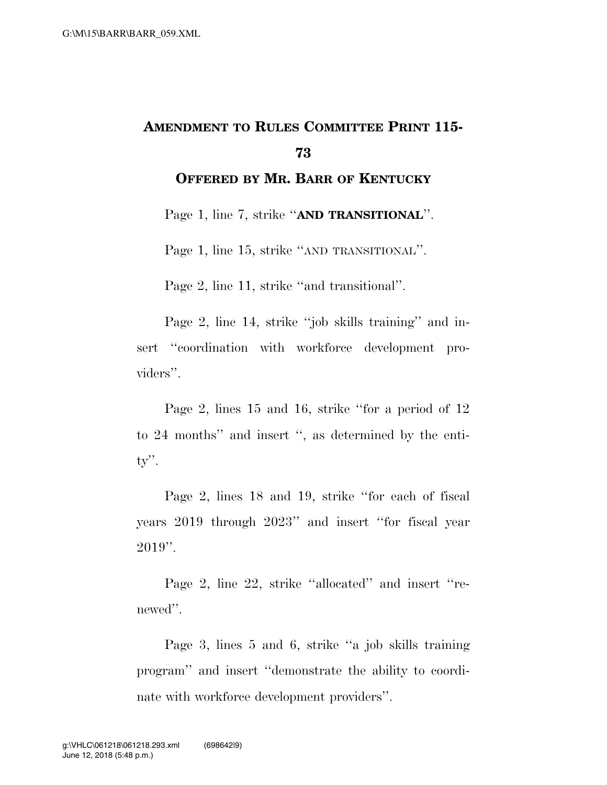## **AMENDMENT TO RULES COMMITTEE PRINT 115- 73**

**OFFERED BY MR. BARR OF KENTUCKY**

Page 1, line 7, strike ''**AND TRANSITIONAL**''.

Page 1, line 15, strike "AND TRANSITIONAL".

Page 2, line 11, strike ''and transitional''.

Page 2, line 14, strike ''job skills training'' and insert "coordination with workforce development providers''.

Page 2, lines 15 and 16, strike ''for a period of 12 to 24 months'' and insert '', as determined by the entity''.

Page 2, lines 18 and 19, strike ''for each of fiscal years 2019 through 2023'' and insert ''for fiscal year  $2019$ ".

Page 2, line 22, strike ''allocated'' and insert ''renewed''.

Page 3, lines 5 and 6, strike ''a job skills training program'' and insert ''demonstrate the ability to coordinate with workforce development providers''.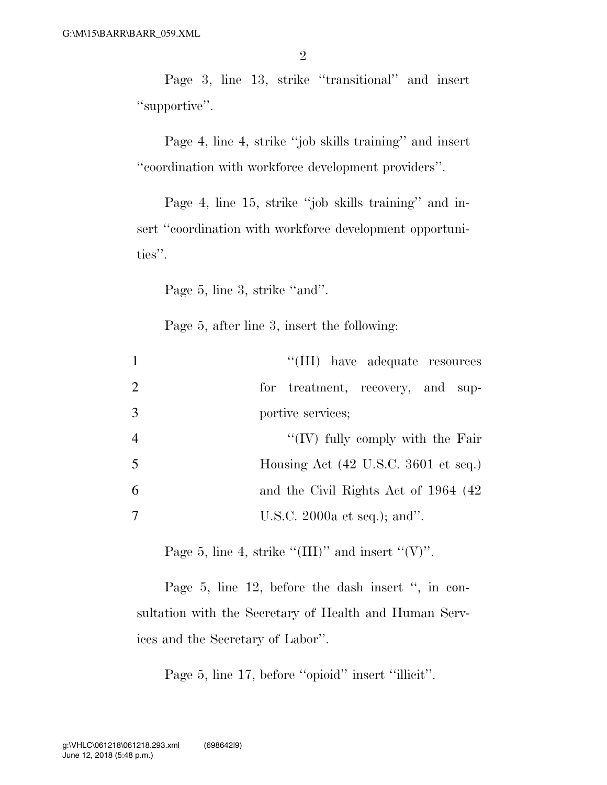Page 3, line 13, strike ''transitional'' and insert "supportive".

Page 4, line 4, strike ''job skills training'' and insert ''coordination with workforce development providers''.

Page 4, line 15, strike ''job skills training'' and insert "coordination with workforce development opportunities''.

Page 5, line 3, strike "and".

Page 5, after line 3, insert the following:

| $\mathbf{1}$   | "(III) have adequate resources                          |
|----------------|---------------------------------------------------------|
| 2              | for treatment, recovery, and sup-                       |
| 3              | portive services;                                       |
| $\overline{4}$ | " $(IV)$ fully comply with the Fair                     |
| 5              | Housing Act $(42 \text{ U.S.C. } 3601 \text{ et seq.})$ |
| 6              | and the Civil Rights Act of 1964 (42)                   |
| -7             | U.S.C. 2000a et seq.); and".                            |

Page 5, line 4, strike " $(III)$ " and insert " $(V)$ ".

Page 5, line 12, before the dash insert ", in consultation with the Secretary of Health and Human Services and the Secretary of Labor''.

Page 5, line 17, before "opioid" insert "illicit".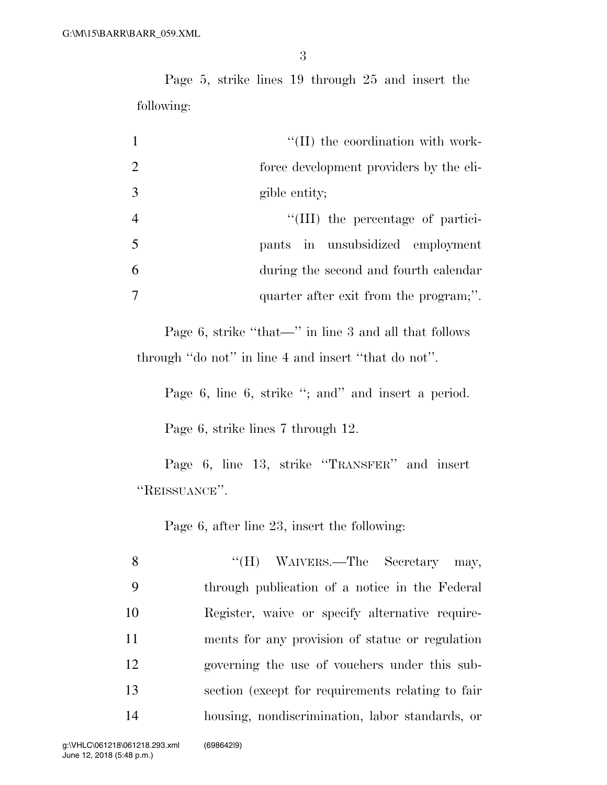3

Page 5, strike lines 19 through 25 and insert the following:

| $\mathbf{1}$   | $\lq\lq$ (II) the coordination with work- |
|----------------|-------------------------------------------|
| 2              | force development providers by the eli-   |
| 3              | gible entity;                             |
| $\overline{4}$ | "(III) the percentage of partici-         |
| 5              | pants in unsubsidized employment          |
| 6              | during the second and fourth calendar     |
| 7              | quarter after exit from the program;".    |

Page 6, strike ''that—'' in line 3 and all that follows through ''do not'' in line 4 and insert ''that do not''.

Page 6, line 6, strike "; and" and insert a period.

Page 6, strike lines 7 through 12.

Page 6, line 13, strike ''TRANSFER'' and insert ''REISSUANCE''.

Page 6, after line 23, insert the following:

| 8  | "(H) WAIVERS.—The Secretary may,                   |
|----|----------------------------------------------------|
| -9 | through publication of a notice in the Federal     |
| 10 | Register, waive or specify alternative require-    |
| 11 | ments for any provision of statue or regulation    |
| 12 | governing the use of vouchers under this sub-      |
| 13 | section (except for requirements relating to fair) |
| 14 | housing, nondiscrimination, labor standards, or    |